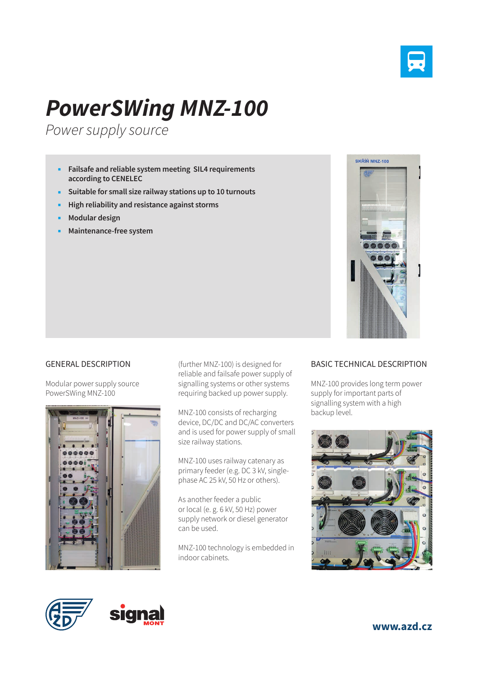

## *PowerSWing MNZ-100*

*Power supply source*

- **Failsafe and reliable system meeting SIL4 requirements according to CENELEC**
- **Suitable for small size railway stations up to 10 turnouts**
- **High reliability and resistance against storms**
- **Modular design**
- **Maintenance-free system**



## GENERAL DESCRIPTION

Modular power supply source PowerSWing MNZ-100



(further MNZ-100) is designed for reliable and failsafe power supply of signalling systems or other systems requiring backed up power supply.

MNZ-100 consists of recharging device, DC/DC and DC/AC converters and is used for power supply of small size railway stations.

MNZ-100 uses railway catenary as primary feeder (e.g. DC 3 kV, singlephase AC 25 kV, 50 Hz or others).

As another feeder a public or local (e. g. 6 kV, 50 Hz) power supply network or diesel generator can be used.

MNZ-100 technology is embedded in indoor cabinets.

## BASIC TECHNICAL DESCRIPTION

MNZ-100 provides long term power supply for important parts of signalling system with a high backup level.